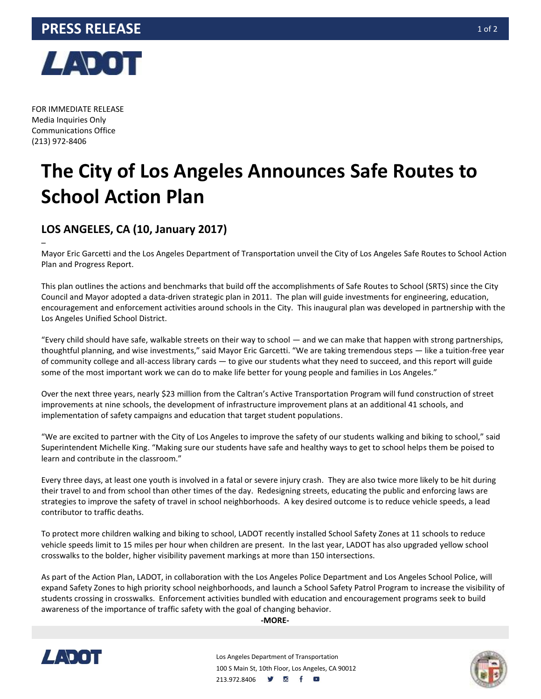

FOR IMMEDIATE RELEASE Media Inquiries Only Communications Office (213) 972-8406

–

## **The City of Los Angeles Announces Safe Routes to School Action Plan**

## **LOS ANGELES, CA (10, January 2017)**

Mayor Eric Garcetti and the Los Angeles Department of Transportation unveil the City of Los Angeles Safe Routes to School Action Plan and Progress Report.

This plan outlines the actions and benchmarks that build off the accomplishments of Safe Routes to School (SRTS) since the City Council and Mayor adopted a data-driven strategic plan in 2011. The plan will guide investments for engineering, education, encouragement and enforcement activities around schools in the City. This inaugural plan was developed in partnership with the Los Angeles Unified School District.

"Every child should have safe, walkable streets on their way to school — and we can make that happen with strong partnerships, thoughtful planning, and wise investments," said Mayor Eric Garcetti. "We are taking tremendous steps — like a tuition-free year of community college and all-access library cards — to give our students what they need to succeed, and this report will guide some of the most important work we can do to make life better for young people and families in Los Angeles."

Over the next three years, nearly \$23 million from the Caltran's Active Transportation Program will fund construction of street improvements at nine schools, the development of infrastructure improvement plans at an additional 41 schools, and implementation of safety campaigns and education that target student populations.

"We are excited to partner with the City of Los Angeles to improve the safety of our students walking and biking to school," said Superintendent Michelle King. "Making sure our students have safe and healthy ways to get to school helps them be poised to learn and contribute in the classroom."

Every three days, at least one youth is involved in a fatal or severe injury crash. They are also twice more likely to be hit during their travel to and from school than other times of the day. Redesigning streets, educating the public and enforcing laws are strategies to improve the safety of travel in school neighborhoods. A key desired outcome is to reduce vehicle speeds, a lead contributor to traffic deaths.

To protect more children walking and biking to school, LADOT recently installed School Safety Zones at 11 schools to reduce vehicle speeds limit to 15 miles per hour when children are present. In the last year, LADOT has also upgraded yellow school crosswalks to the bolder, higher visibility pavement markings at more than 150 intersections.

As part of the Action Plan, LADOT, in collaboration with the Los Angeles Police Department and Los Angeles School Police, will expand Safety Zones to high priority school neighborhoods, and launch a School Safety Patrol Program to increase the visibility of students crossing in crosswalks. Enforcement activities bundled with education and encouragement programs seek to build awareness of the importance of traffic safety with the goal of changing behavior.

**-MORE-**



Los Angeles Department of Transportation 100 S Main St, 10th Floor, Los Angeles, CA 90012 213.972.8406 **9 8 f 8**